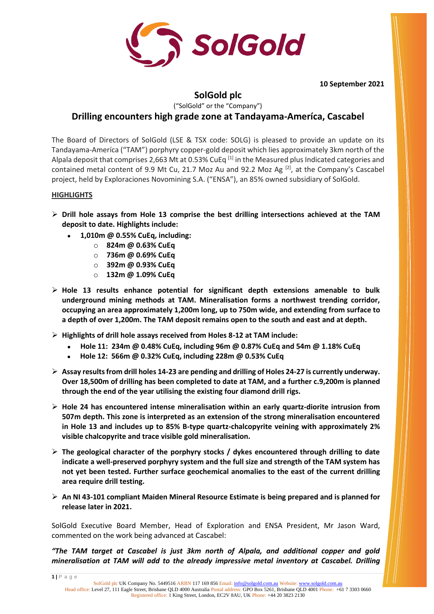

**10 September 2021**

# **SolGold plc** ("SolGold" or the "Company") **Drilling encounters high grade zone at Tandayama-Ameríca, Cascabel**

The Board of Directors of SolGold (LSE & TSX code: SOLG) is pleased to provide an update on its Tandayama-Ameríca ("TAM") porphyry copper-gold deposit which lies approximately 3km north of the Alpala deposit that comprises 2,663 Mt at 0.53% CuEq [1] in the Measured plus Indicated categories and contained metal content of 9.9 Mt Cu, 21.7 Moz Au and 92.2 Moz Ag<sup>[2]</sup>, at the Company's Cascabel project, held by Exploraciones Novomining S.A. ("ENSA"), an 85% owned subsidiary of SolGold.

### **HIGHLIGHTS**

- ➢ **Drill hole assays from Hole 13 comprise the best drilling intersections achieved at the TAM deposit to date. Highlights include:**
	- **1,010m @ 0.55% CuEq, including:**
		- o **824m @ 0.63% CuEq**
		- o **736m @ 0.69% CuEq**
		- o **392m @ 0.93% CuEq**
		- o **132m @ 1.09% CuEq**
- ➢ **Hole 13 results enhance potential for significant depth extensions amenable to bulk underground mining methods at TAM. Mineralisation forms a northwest trending corridor, occupying an area approximately 1,200m long, up to 750m wide, and extending from surface to a depth of over 1,200m. The TAM deposit remains open to the south and east and at depth.**
- ➢ **Highlights of drill hole assays received from Holes 8-12 at TAM include:**
	- **Hole 11: 234m @ 0.48% CuEq, including 96m @ 0.87% CuEq and 54m @ 1.18% CuEq**
	- **Hole 12: 566m @ 0.32% CuEq, including 228m @ 0.53% CuEq**
- ➢ **Assay results from drill holes 14-23 are pending and drilling of Holes 24-27 is currently underway. Over 18,500m of drilling has been completed to date at TAM, and a further c.9,200m is planned through the end of the year utilising the existing four diamond drill rigs.**
- ➢ **Hole 24 has encountered intense mineralisation within an early quartz-diorite intrusion from 507m depth. This zone is interpreted as an extension of the strong mineralisation encountered in Hole 13 and includes up to 85% B-type quartz-chalcopyrite veining with approximately 2% visible chalcopyrite and trace visible gold mineralisation.**
- ➢ **The geological character of the porphyry stocks / dykes encountered through drilling to date indicate a well-preserved porphyry system and the full size and strength of the TAM system has not yet been tested. Further surface geochemical anomalies to the east of the current drilling area require drill testing.**
- ➢ **An NI 43-101 compliant Maiden Mineral Resource Estimate is being prepared and is planned for release later in 2021.**

SolGold Executive Board Member, Head of Exploration and ENSA President, Mr Jason Ward, commented on the work being advanced at Cascabel:

*"The TAM target at Cascabel is just 3km north of Alpala, and additional copper and gold mineralisation at TAM will add to the already impressive metal inventory at Cascabel. Drilling*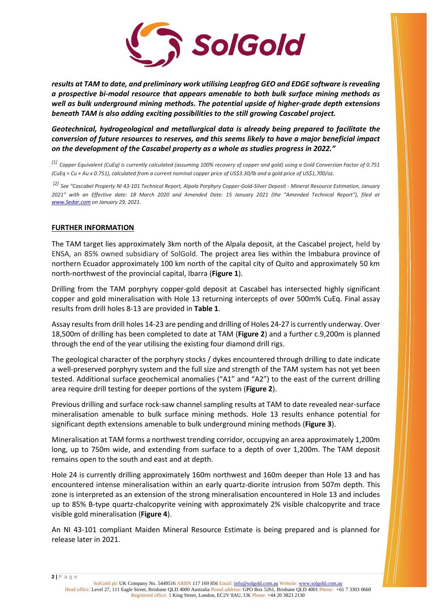

*results at TAM to date, and preliminary work utilising Leapfrog GEO and EDGE software is revealing a prospective bi-modal resource that appears amenable to both bulk surface mining methods as well as bulk underground mining methods. The potential upside of higher-grade depth extensions beneath TAM is also adding exciting possibilities to the still growing Cascabel project.*

*Geotechnical, hydrogeological and metallurgical data is already being prepared to facilitate the conversion of future resources to reserves, and this seems likely to have a major beneficial impact on the development of the Cascabel property as a whole as studies progress in 2022."*

*[1] Copper Equivalent (CuEq) is currently calculated (assuming 100% recovery of copper and gold) using a Gold Conversion Factor of 0.751 (CuEq = Cu + Au x 0.751), calculated from a current nominal copper price of US\$3.30/lb and a gold price of US\$1,700/oz.*

*[2] See "Cascabel Property NI 43-101 Technical Report, Alpala Porphyry Copper-Gold-Silver Deposit - Mineral Resource Estimation, January 2021" with an Effective date: 18 March 2020 and Amended Date: 15 January 2021 (the "Amended Technical Report"), filed at [www.Sedar.com](http://www.sedar.com/) on January 29, 2021.* 

### **FURTHER INFORMATION**

The TAM target lies approximately 3km north of the Alpala deposit, at the Cascabel project, held by ENSA, an 85% owned subsidiary of SolGold. The project area lies within the Imbabura province of northern Ecuador approximately 100 km north of the capital city of Quito and approximately 50 km north-northwest of the provincial capital, Ibarra (**Figure 1**).

Drilling from the TAM porphyry copper-gold deposit at Cascabel has intersected highly significant copper and gold mineralisation with Hole 13 returning intercepts of over 500m% CuEq. Final assay results from drill holes 8-13 are provided in **Table 1**.

Assay results from drill holes 14-23 are pending and drilling of Holes 24-27 is currently underway. Over 18,500m of drilling has been completed to date at TAM (**Figure 2**) and a further c.9,200m is planned through the end of the year utilising the existing four diamond drill rigs.

The geological character of the porphyry stocks / dykes encountered through drilling to date indicate a well-preserved porphyry system and the full size and strength of the TAM system has not yet been tested. Additional surface geochemical anomalies ("A1" and "A2") to the east of the current drilling area require drill testing for deeper portions of the system (**Figure 2**).

Previous drilling and surface rock-saw channel sampling results at TAM to date revealed near-surface mineralisation amenable to bulk surface mining methods. Hole 13 results enhance potential for significant depth extensions amenable to bulk underground mining methods (**Figure 3**).

Mineralisation at TAM forms a northwest trending corridor, occupying an area approximately 1,200m long, up to 750m wide, and extending from surface to a depth of over 1,200m. The TAM deposit remains open to the south and east and at depth.

Hole 24 is currently drilling approximately 160m northwest and 160m deeper than Hole 13 and has encountered intense mineralisation within an early quartz-diorite intrusion from 507m depth. This zone is interpreted as an extension of the strong mineralisation encountered in Hole 13 and includes up to 85% B-type quartz-chalcopyrite veining with approximately 2% visible chalcopyrite and trace visible gold mineralisation (**Figure 4**).

An NI 43-101 compliant Maiden Mineral Resource Estimate is being prepared and is planned for release later in 2021.

**2 |** P a g e

SolGold plc UK Company No. 5449516 ARBN 117 169 856 Email[: info@solgold.com.au](mailto:info@solgold.com.au) Website[: www.solgold.com.au](http://www.solgold.com.au/) Head office: Level 27, 111 Eagle Street, Brisbane QLD 4000 Australia Postal address: GPO Box 5261, Brisbane QLD 4001 Phone: +61 7 3303 0660 Registered office: 1 King Street, London, EC2V 8AU, UK Phone: +44 20 3823 2130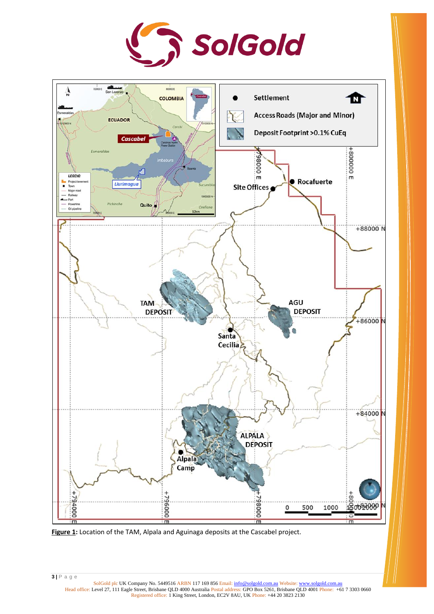



**Figure 1:** Location of the TAM, Alpala and Aguinaga deposits at the Cascabel project.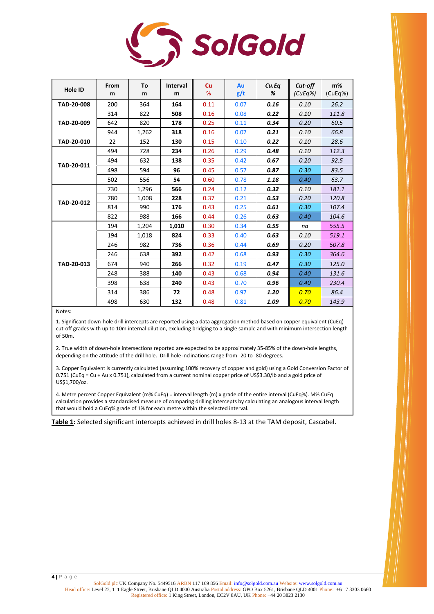

| <b>Hole ID</b> | From<br>m | To<br>m | Interval<br>m | Cu<br>% | Au<br>g/t | Cu.Eq<br>% | Cut-off<br>(CuEq%) | $m\%$<br>(CuEq%) |
|----------------|-----------|---------|---------------|---------|-----------|------------|--------------------|------------------|
| TAD-20-008     | 200       | 364     | 164           | 0.11    | 0.07      | 0.16       | 0.10               | 26.2             |
| TAD-20-009     | 314       | 822     | 508           | 0.16    | 0.08      | 0.22       | 0.10               | 111.8            |
|                | 642       | 820     | 178           | 0.25    | 0.11      | 0.34       | 0.20               | 60.5             |
|                | 944       | 1,262   | 318           | 0.16    | 0.07      | 0.21       | 0.10               | 66.8             |
| TAD-20-010     | 22        | 152     | 130           | 0.15    | 0.10      | 0.22       | 0.10               | 28.6             |
| TAD-20-011     | 494       | 728     | 234           | 0.26    | 0.29      | 0.48       | 0.10               | 112.3            |
|                | 494       | 632     | 138           | 0.35    | 0.42      | 0.67       | 0.20               | 92.5             |
|                | 498       | 594     | 96            | 0.45    | 0.57      | 0.87       | 0.30               | 83.5             |
|                | 502       | 556     | 54            | 0.60    | 0.78      | 1.18       | 0.40               | 63.7             |
| TAD-20-012     | 730       | 1,296   | 566           | 0.24    | 0.12      | 0.32       | 0.10               | 181.1            |
|                | 780       | 1,008   | 228           | 0.37    | 0.21      | 0.53       | 0.20               | 120.8            |
|                | 814       | 990     | 176           | 0.43    | 0.25      | 0.61       | 0.30               | 107.4            |
|                | 822       | 988     | 166           | 0.44    | 0.26      | 0.63       | 0.40               | 104.6            |
| TAD-20-013     | 194       | 1,204   | 1,010         | 0.30    | 0.34      | 0.55       | na                 | 555.5            |
|                | 194       | 1,018   | 824           | 0.33    | 0.40      | 0.63       | 0.10               | 519.1            |
|                | 246       | 982     | 736           | 0.36    | 0.44      | 0.69       | 0.20               | 507.8            |
|                | 246       | 638     | 392           | 0.42    | 0.68      | 0.93       | 0.30               | 364.6            |
|                | 674       | 940     | 266           | 0.32    | 0.19      | 0.47       | 0.30               | 125.0            |
|                | 248       | 388     | 140           | 0.43    | 0.68      | 0.94       | 0.40               | 131.6            |
|                | 398       | 638     | 240           | 0.43    | 0.70      | 0.96       | 0.40               | 230.4            |
|                | 314       | 386     | 72            | 0.48    | 0.97      | 1.20       | 0.70               | 86.4             |
|                | 498       | 630     | 132           | 0.48    | 0.81      | 1.09       | 0.70               | 143.9            |

Notes:

1. Significant down-hole drill intercepts are reported using a data aggregation method based on copper equivalent (CuEq) cut-off grades with up to 10m internal dilution, excluding bridging to a single sample and with minimum intersection length of 50m.

2. True width of down-hole intersections reported are expected to be approximately 35-85% of the down-hole lengths, depending on the attitude of the drill hole. Drill hole inclinations range from -20 to -80 degrees.

3. Copper Equivalent is currently calculated (assuming 100% recovery of copper and gold) using a Gold Conversion Factor of 0.751 (CuEq = Cu + Au x 0.751), calculated from a current nominal copper price of US\$3.30/lb and a gold price of US\$1,700/oz.

4. Metre percent Copper Equivalent (m% CuEq) = interval length (m) x grade of the entire interval (CuEq%). M% CuEq calculation provides a standardised measure of comparing drilling intercepts by calculating an analogous interval length that would hold a CuEq% grade of 1% for each metre within the selected interval.

**Table 1:** Selected significant intercepts achieved in drill holes 8-13 at the TAM deposit, Cascabel.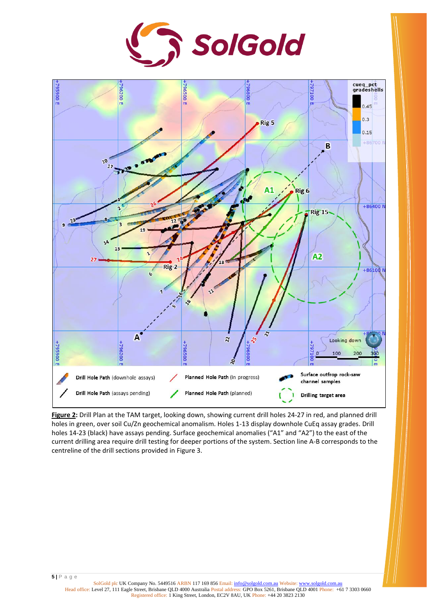



**Figure 2:** Drill Plan at the TAM target, looking down, showing current drill holes 24-27 in red, and planned drill holes in green, over soil Cu/Zn geochemical anomalism. Holes 1-13 display downhole CuEq assay grades. Drill holes 14-23 (black) have assays pending. Surface geochemical anomalies ("A1" and "A2") to the east of the current drilling area require drill testing for deeper portions of the system. Section line A-B corresponds to the centreline of the drill sections provided in Figure 3.

SolGold plc UK Company No. 5449516 ARBN 117 169 856 Email[: info@solgold.com.au](mailto:info@solgold.com.au) Website[: www.solgold.com.au](http://www.solgold.com.au/) Head office: Level 27, 111 Eagle Street, Brisbane QLD 4000 Australia Postal address: GPO Box 5261, Brisbane QLD 4001 Phone: +61 7 3303 0660 Registered office: 1 King Street, London, EC2V 8AU, UK Phone: +44 20 3823 2130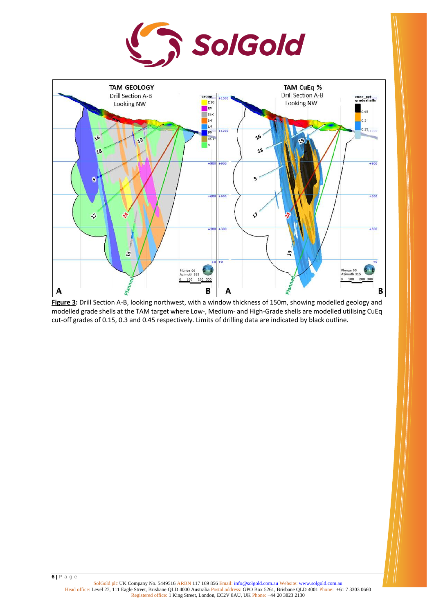



**Figure 3:** Drill Section A-B, looking northwest, with a window thickness of 150m, showing modelled geology and modelled grade shells at the TAM target where Low-, Medium- and High-Grade shells are modelled utilising CuEq cut-off grades of 0.15, 0.3 and 0.45 respectively. Limits of drilling data are indicated by black outline.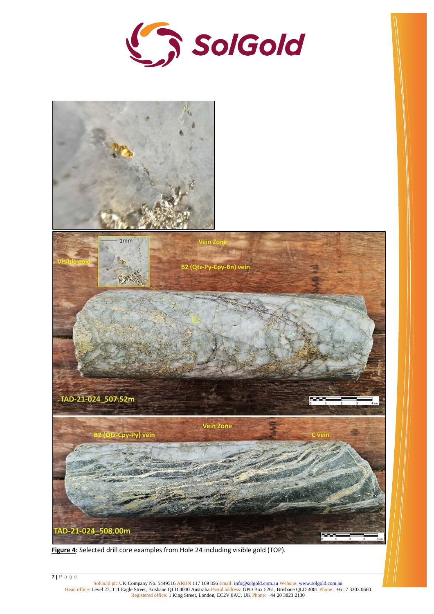



**Figure 4:** Selected drill core examples from Hole 24 including visible gold (TOP).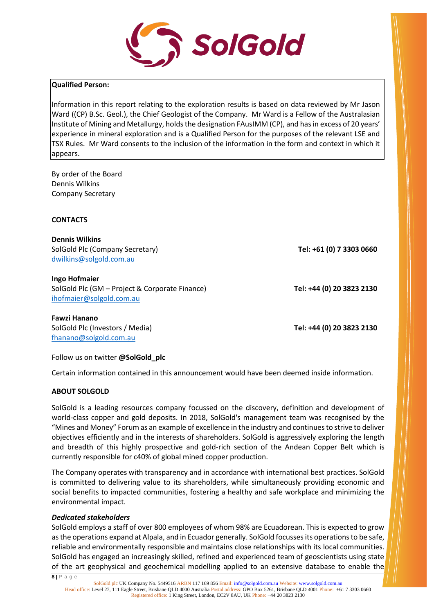

## **Qualified Person:**

Information in this report relating to the exploration results is based on data reviewed by Mr Jason Ward ((CP) B.Sc. Geol.), the Chief Geologist of the Company. Mr Ward is a Fellow of the Australasian Institute of Mining and Metallurgy, holds the designation FAusIMM (CP), and has in excess of 20 years' experience in mineral exploration and is a Qualified Person for the purposes of the relevant LSE and TSX Rules. Mr Ward consents to the inclusion of the information in the form and context in which it appears.

By order of the Board Dennis Wilkins Company Secretary

**CONTACTS**

**Dennis Wilkins** SolGold Plc (Company Secretary) [dwilkins@solgold.com.au](mailto:dwilkins@solgold.com.au)

**Ingo Hofmaier** SolGold Plc (GM – Project & Corporate Finance) [ihofmaier@solgold.com.au](mailto:ihofmaier@solgold.com.au)

**Fawzi Hanano** 

SolGold Plc (Investors / Media) [fhanano@solgold.com.au](mailto:fhanano@solgold.com.au) 

**Tel: +61 (0) 7 3303 0660**

**Tel: +44 (0) 20 3823 2130**

**Tel: +44 (0) 20 3823 2130**

Follow us on twitter **@SolGold\_plc**

Certain information contained in this announcement would have been deemed inside information.

# **ABOUT SOLGOLD**

SolGold is a leading resources company focussed on the discovery, definition and development of world-class copper and gold deposits. In 2018, SolGold's management team was recognised by the "Mines and Money" Forum as an example of excellence in the industry and continues to strive to deliver objectives efficiently and in the interests of shareholders. SolGold is aggressively exploring the length and breadth of this highly prospective and gold-rich section of the Andean Copper Belt which is currently responsible for c40% of global mined copper production.

The Company operates with transparency and in accordance with international best practices. SolGold is committed to delivering value to its shareholders, while simultaneously providing economic and social benefits to impacted communities, fostering a healthy and safe workplace and minimizing the environmental impact.

# *Dedicated stakeholders*

SolGold employs a staff of over 800 employees of whom 98% are Ecuadorean. This is expected to grow as the operations expand at Alpala, and in Ecuador generally. SolGold focusses its operations to be safe, reliable and environmentally responsible and maintains close relationships with its local communities. SolGold has engaged an increasingly skilled, refined and experienced team of geoscientists using state of the art geophysical and geochemical modelling applied to an extensive database to enable the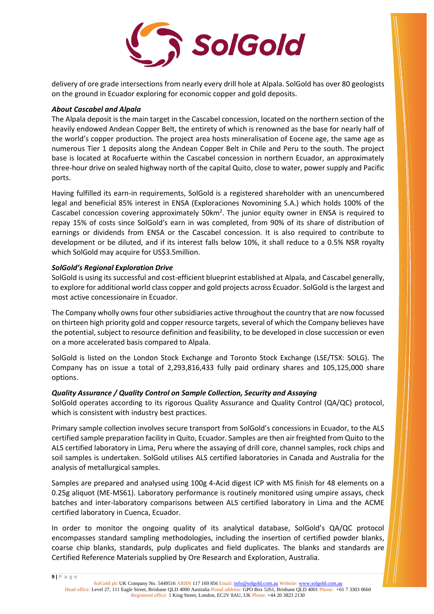

delivery of ore grade intersections from nearly every drill hole at Alpala. SolGold has over 80 geologists on the ground in Ecuador exploring for economic copper and gold deposits.

#### *About Cascabel and Alpala*

The Alpala deposit is the main target in the Cascabel concession, located on the northern section of the heavily endowed Andean Copper Belt, the entirety of which is renowned as the base for nearly half of the world's copper production. The project area hosts mineralisation of Eocene age, the same age as numerous Tier 1 deposits along the Andean Copper Belt in Chile and Peru to the south. The project base is located at Rocafuerte within the Cascabel concession in northern Ecuador, an approximately three-hour drive on sealed highway north of the capital Quito, close to water, power supply and Pacific ports.

Having fulfilled its earn-in requirements, SolGold is a registered shareholder with an unencumbered legal and beneficial 85% interest in ENSA (Exploraciones Novomining S.A.) which holds 100% of the Cascabel concession covering approximately  $50 \text{km}^2$ . The junior equity owner in ENSA is required to repay 15% of costs since SolGold's earn in was completed, from 90% of its share of distribution of earnings or dividends from ENSA or the Cascabel concession. It is also required to contribute to development or be diluted, and if its interest falls below 10%, it shall reduce to a 0.5% NSR royalty which SolGold may acquire for US\$3.5million.

#### *SolGold's Regional Exploration Drive*

SolGold is using its successful and cost-efficient blueprint established at Alpala, and Cascabel generally, to explore for additional world class copper and gold projects across Ecuador. SolGold is the largest and most active concessionaire in Ecuador.

The Company wholly owns four other subsidiaries active throughout the country that are now focussed on thirteen high priority gold and copper resource targets, several of which the Company believes have the potential, subject to resource definition and feasibility, to be developed in close succession or even on a more accelerated basis compared to Alpala.

SolGold is listed on the London Stock Exchange and Toronto Stock Exchange (LSE/TSX: SOLG). The Company has on issue a total of 2,293,816,433 fully paid ordinary shares and 105,125,000 share options.

### *Quality Assurance / Quality Control on Sample Collection, Security and Assaying*

SolGold operates according to its rigorous Quality Assurance and Quality Control (QA/QC) protocol, which is consistent with industry best practices.

Primary sample collection involves secure transport from SolGold's concessions in Ecuador, to the ALS certified sample preparation facility in Quito, Ecuador. Samples are then air freighted from Quito to the ALS certified laboratory in Lima, Peru where the assaying of drill core, channel samples, rock chips and soil samples is undertaken. SolGold utilises ALS certified laboratories in Canada and Australia for the analysis of metallurgical samples.

Samples are prepared and analysed using 100g 4-Acid digest ICP with MS finish for 48 elements on a 0.25g aliquot (ME-MS61). Laboratory performance is routinely monitored using umpire assays, check batches and inter-laboratory comparisons between ALS certified laboratory in Lima and the ACME certified laboratory in Cuenca, Ecuador.

In order to monitor the ongoing quality of its analytical database, SolGold's QA/QC protocol encompasses standard sampling methodologies, including the insertion of certified powder blanks, coarse chip blanks, standards, pulp duplicates and field duplicates. The blanks and standards are Certified Reference Materials supplied by Ore Research and Exploration, Australia.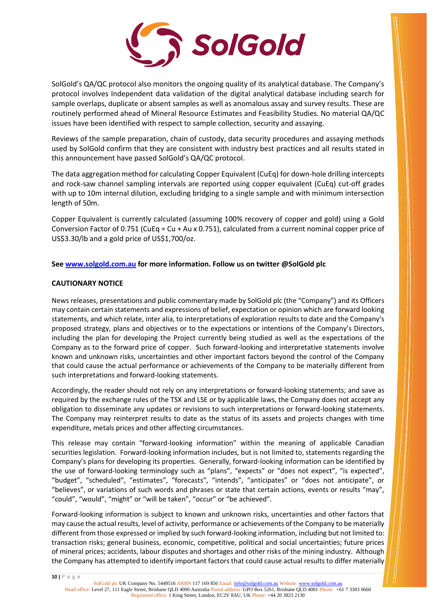

SolGold's QA/QC protocol also monitors the ongoing quality of its analytical database. The Company's protocol involves Independent data validation of the digital analytical database including search for sample overlaps, duplicate or absent samples as well as anomalous assay and survey results. These are routinely performed ahead of Mineral Resource Estimates and Feasibility Studies. No material QA/QC issues have been identified with respect to sample collection, security and assaying.

Reviews of the sample preparation, chain of custody, data security procedures and assaying methods used by SolGold confirm that they are consistent with industry best practices and all results stated in this announcement have passed SolGold's QA/QC protocol.

The data aggregation method for calculating Copper Equivalent (CuEq) for down-hole drilling intercepts and rock-saw channel sampling intervals are reported using copper equivalent (CuEq) cut-off grades with up to 10m internal dilution, excluding bridging to a single sample and with minimum intersection length of 50m.

Copper Equivalent is currently calculated (assuming 100% recovery of copper and gold) using a Gold Conversion Factor of 0.751 (CuEq = Cu + Au x 0.751), calculated from a current nominal copper price of US\$3.30/lb and a gold price of US\$1,700/oz.

**Se[e www.solgold.com.au](http://www.solgold.com.au/) for more information. Follow us on twitter @SolGold plc**

### **CAUTIONARY NOTICE**

News releases, presentations and public commentary made by SolGold plc (the "Company") and its Officers may contain certain statements and expressions of belief, expectation or opinion which are forward looking statements, and which relate, inter alia, to interpretations of exploration results to date and the Company's proposed strategy, plans and objectives or to the expectations or intentions of the Company's Directors, including the plan for developing the Project currently being studied as well as the expectations of the Company as to the forward price of copper. Such forward-looking and interpretative statements involve known and unknown risks, uncertainties and other important factors beyond the control of the Company that could cause the actual performance or achievements of the Company to be materially different from such interpretations and forward-looking statements.

Accordingly, the reader should not rely on any interpretations or forward-looking statements; and save as required by the exchange rules of the TSX and LSE or by applicable laws, the Company does not accept any obligation to disseminate any updates or revisions to such interpretations or forward-looking statements. The Company may reinterpret results to date as the status of its assets and projects changes with time expenditure, metals prices and other affecting circumstances.

This release may contain "forward-looking information" within the meaning of applicable Canadian securities legislation. Forward-looking information includes, but is not limited to, statements regarding the Company's plans for developing its properties. Generally, forward-looking information can be identified by the use of forward-looking terminology such as "plans", "expects" or "does not expect", "is expected", "budget", "scheduled", "estimates", "forecasts", "intends", "anticipates" or "does not anticipate", or "believes", or variations of such words and phrases or state that certain actions, events or results "may", "could", "would", "might" or "will be taken", "occur" or "be achieved".

Forward-looking information is subject to known and unknown risks, uncertainties and other factors that may cause the actual results, level of activity, performance or achievements of the Company to be materially different from those expressed or implied by such forward-looking information, including but not limited to: transaction risks; general business, economic, competitive, political and social uncertainties; future prices of mineral prices; accidents, labour disputes and shortages and other risks of the mining industry. Although the Company has attempted to identify important factors that could cause actual results to differ materially